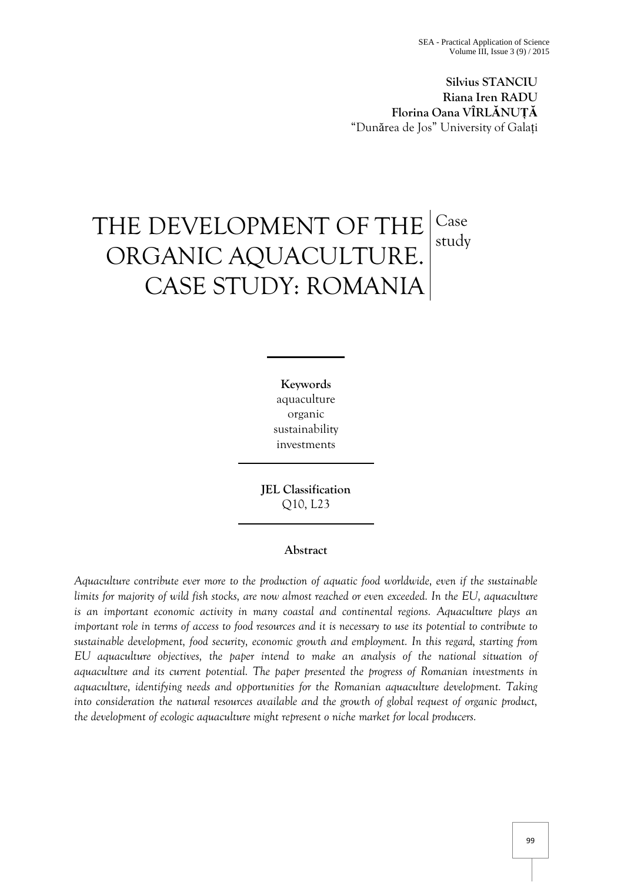**Silvius STANCIU Riana Iren RADU Florina Oana VÎRLĂNUȚĂ** "Dunărea de Jos" University of Galați

# THE DEVELOPMENT OF THE ORGANIC AQUACULTURE. CASE STUDY: ROMANIA Case study

**Keywords** aquaculture organic sustainability investments

**JEL Classification**  Q10, L23

## **Abstract**

*Aquaculture contribute ever more to the production of aquatic food worldwide, even if the sustainable limits for majority of wild fish stocks, are now almost reached or even exceeded. In the EU, aquaculture is an important economic activity in many coastal and continental regions. Aquaculture plays an important role in terms of access to food resources and it is necessary to use its potential to contribute to sustainable development, food security, economic growth and employment. In this regard, starting from EU aquaculture objectives, the paper intend to make an analysis of the national situation of aquaculture and its current potential. The paper presented the progress of Romanian investments in aquaculture, identifying needs and opportunities for the Romanian aquaculture development. Taking into consideration the natural resources available and the growth of global request of organic product, the development of ecologic aquaculture might represent o niche market for local producers.*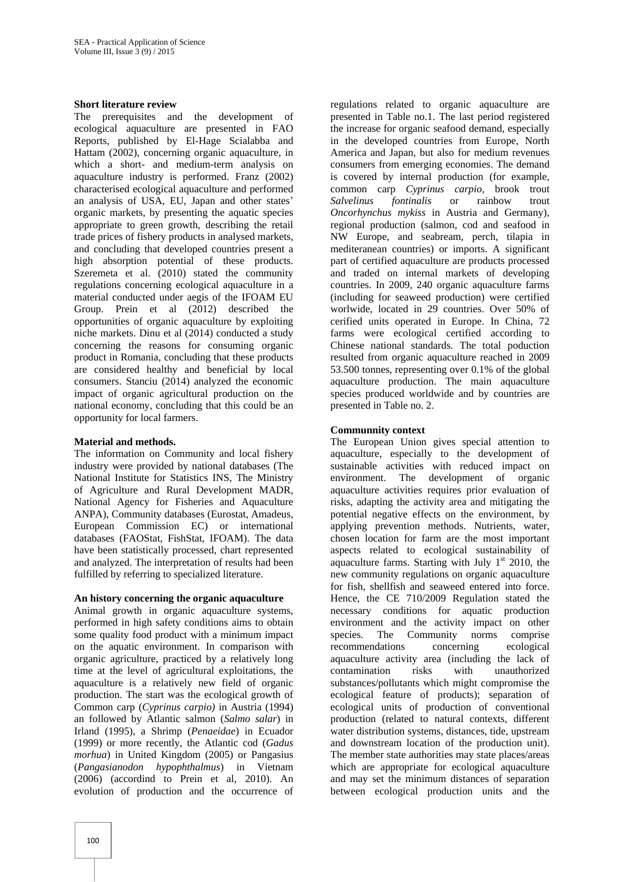#### **Short literature review**

The prerequisites and the development of ecological aquaculture are presented in FAO Reports, published by El-Hage Scialabba and Hattam (2002), concerning organic aquaculture, in which a short- and medium-term analysis on aquaculture industry is performed. Franz (2002) characterised ecological aquaculture and performed an analysis of USA, EU, Japan and other states' organic markets, by presenting the aquatic species appropriate to green growth, describing the retail trade prices of fishery products in analysed markets, and concluding that developed countries present a high absorption potential of these products. Szeremeta et al. (2010) stated the community regulations concerning ecological aquaculture in a material conducted under aegis of the IFOAM EU Group. Prein et al (2012) described the opportunities of organic aquaculture by exploiting niche markets. Dinu et al (2014) conducted a study concerning the reasons for consuming organic product in Romania, concluding that these products are considered healthy and beneficial by local consumers. Stanciu (2014) analyzed the economic impact of organic agricultural production on the national economy, concluding that this could be an opportunity for local farmers.

#### **Material and methods.**

The information on Community and local fishery industry were provided by national databases (The National Institute for Statistics INS, The Ministry of Agriculture and Rural Development MADR, National Agency for Fisheries and Aquaculture ANPA), Community databases (Eurostat, Amadeus, European Commission EC) or international databases (FAOStat, FishStat, IFOAM). The data have been statistically processed, chart represented and analyzed. The interpretation of results had been fulfilled by referring to specialized literature.

#### **An history concerning the organic aquaculture**

Animal growth in organic aquaculture systems, performed in high safety conditions aims to obtain some quality food product with a minimum impact on the aquatic environment. In comparison with organic agriculture, practiced by a relatively long time at the level of agricultural exploitations, the aquaculture is a relatively new field of organic production. The start was the ecological growth of Common carp (*Cyprinus carpio)* in Austria (1994) an followed by Atlantic salmon (*Salmo salar*) in Irland (1995), a Shrimp (*Penaeidae*) in Ecuador (1999) or more recently, the Atlantic cod (*Gadus morhua*) in United Kingdom (2005) or Pangasius (*Pangasianodon hypophthalmus*) in Vietnam (2006) (accordind to Prein et al, 2010). An evolution of production and the occurrence of

regulations related to organic aquaculture are presented in Table no.1. The last period registered the increase for organic seafood demand, especially in the developed countries from Europe, North America and Japan, but also for medium revenues consumers from emerging economies. The demand is covered by internal production (for example, common carp *Cyprinus carpio*, brook trout *Salvelinus fontinalis* or rainbow trout *Oncorhynchus mykiss* in Austria and Germany), regional production (salmon, cod and seafood in NW Europe, and seabream, perch, tilapia in mediteranean countries) or imports. A significant part of certified aquaculture are products processed and traded on internal markets of developing countries. In 2009, 240 organic aquaculture farms (including for seaweed production) were certified worlwide, located in 29 countries. Over 50% of cerified units operated in Europe. In China, 72 farms were ecological certified according to Chinese national standards. The total poduction resulted from organic aquaculture reached in 2009 53.500 tonnes, representing over 0.1% of the global aquaculture production. The main aquaculture species produced worldwide and by countries are presented in Table no. 2.

## **Communnity context**

The European Union gives special attention to aquaculture, especially to the development of sustainable activities with reduced impact on environment. The development of organic aquaculture activities requires prior evaluation of risks, adapting the activity area and mitigating the potential negative effects on the environment, by applying prevention methods. Nutrients, water, chosen location for farm are the most important aspects related to ecological sustainability of aquaculture farms. Starting with July  $1<sup>st</sup>$  2010, the new community regulations on organic aquaculture for fish, shellfish and seaweed entered into force. Hence, the CE 710/2009 Regulation stated the necessary conditions for aquatic production environment and the activity impact on other species. The Community norms comprise recommendations concerning ecological aquaculture activity area (including the lack of contamination risks with unauthorized substances/pollutants which might compromise the ecological feature of products); separation of ecological units of production of conventional production (related to natural contexts, different water distribution systems, distances, tide, upstream and downstream location of the production unit). The member state authorities may state places/areas which are appropriate for ecological aquaculture and may set the minimum distances of separation between ecological production units and the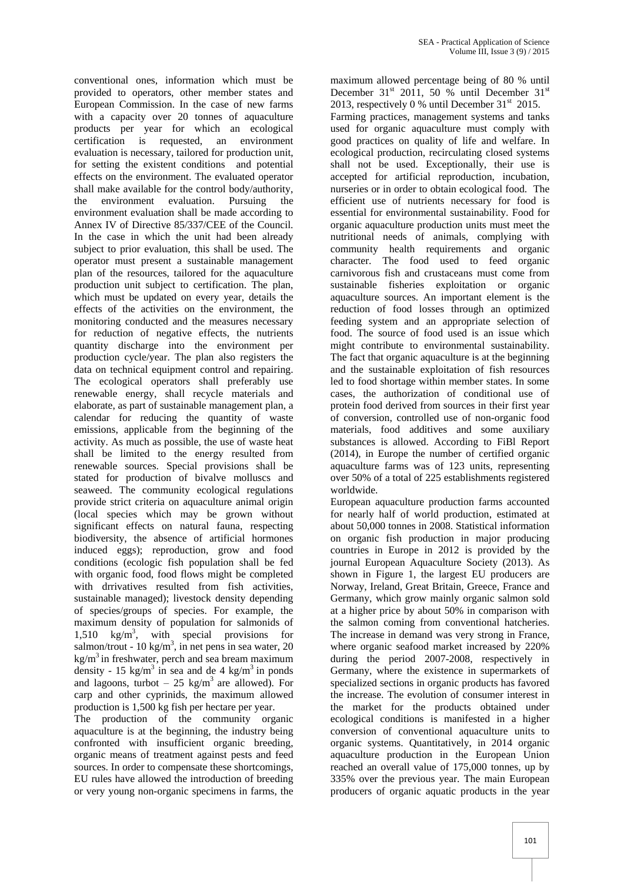conventional ones, information which must be provided to operators, other member states and European Commission. In the case of new farms with a capacity over 20 tonnes of aquaculture products per year for which an ecological certification is requested, an environment evaluation is necessary, tailored for production unit, for setting the existent conditions and potential effects on the environment. The evaluated operator shall make available for the control body/authority, the environment evaluation. Pursuing the environment evaluation shall be made according to Annex IV of Directive 85/337/CEE of the Council. In the case in which the unit had been already subject to prior evaluation, this shall be used. The operator must present a sustainable management plan of the resources, tailored for the aquaculture production unit subject to certification. The plan, which must be updated on every year, details the effects of the activities on the environment, the monitoring conducted and the measures necessary for reduction of negative effects, the nutrients quantity discharge into the environment per production cycle/year. The plan also registers the data on technical equipment control and repairing. The ecological operators shall preferably use renewable energy, shall recycle materials and elaborate, as part of sustainable management plan, a calendar for reducing the quantity of waste emissions, applicable from the beginning of the activity. As much as possible, the use of waste heat shall be limited to the energy resulted from renewable sources. Special provisions shall be stated for production of bivalve molluscs and seaweed. The community ecological regulations provide strict criteria on aquaculture animal origin (local species which may be grown without significant effects on natural fauna, respecting biodiversity, the absence of artificial hormones induced eggs); reproduction, grow and food conditions (ecologic fish population shall be fed with organic food, food flows might be completed with drrivatives resulted from fish activities, sustainable managed); livestock density depending of species/groups of species. For example, the maximum density of population for salmonids of 1,510 kg/m<sup>3</sup> , with special provisions for salmon/trout - 10 kg/m<sup>3</sup>, in net pens in sea water, 20  $kg/m<sup>3</sup>$  in freshwater, perch and sea bream maximum density - 15 kg/m<sup>3</sup> in sea and de 4 kg/m<sup>3</sup> in ponds and lagoons, turbot – 25 kg/m<sup>3</sup> are allowed). For carp and other cyprinids, the maximum allowed production is 1,500 kg fish per hectare per year.

The production of the community organic aquaculture is at the beginning, the industry being confronted with insufficient organic breeding, organic means of treatment against pests and feed sources. In order to compensate these shortcomings, EU rules have allowed the introduction of breeding or very young non-organic specimens in farms, the

maximum allowed percentage being of 80 % until December  $31<sup>st</sup>$  2011, 50 % until December  $31<sup>st</sup>$ 2013, respectively 0 % until December  $31<sup>st</sup>$  2015. Farming practices, management systems and tanks used for organic aquaculture must comply with good practices on quality of life and welfare. In ecological production, recirculating closed systems shall not be used. Exceptionally, their use is accepted for artificial reproduction, incubation, nurseries or in order to obtain ecological food. The efficient use of nutrients necessary for food is essential for environmental sustainability. Food for organic aquaculture production units must meet the nutritional needs of animals, complying with community health requirements and organic character. The food used to feed organic carnivorous fish and crustaceans must come from sustainable fisheries exploitation or organic aquaculture sources. An important element is the reduction of food losses through an optimized feeding system and an appropriate selection of food. The source of food used is an issue which might contribute to environmental sustainability. The fact that organic aquaculture is at the beginning and the sustainable exploitation of fish resources led to food shortage within member states. In some cases, the authorization of conditional use of protein food derived from sources in their first year of conversion, controlled use of non-organic food materials, food additives and some auxiliary substances is allowed. According to FiBl Report (2014), in Europe the number of certified organic aquaculture farms was of 123 units, representing over 50% of a total of 225 establishments registered worldwide.

European aquaculture production farms accounted for nearly half of world production, estimated at about 50,000 tonnes in 2008. Statistical information on organic fish production in major producing countries in Europe in 2012 is provided by the journal European Aquaculture Society (2013). As shown in Figure 1, the largest EU producers are Norway, Ireland, Great Britain, Greece, France and Germany, which grow mainly organic salmon sold at a higher price by about 50% in comparison with the salmon coming from conventional hatcheries. The increase in demand was very strong in France, where organic seafood market increased by 220% during the period 2007-2008, respectively in Germany, where the existence in supermarkets of specialized sections in organic products has favored the increase. The evolution of consumer interest in the market for the products obtained under ecological conditions is manifested in a higher conversion of conventional aquaculture units to organic systems. Quantitatively, in 2014 organic aquaculture production in the European Union reached an overall value of 175,000 tonnes, up by 335% over the previous year. The main European producers of organic aquatic products in the year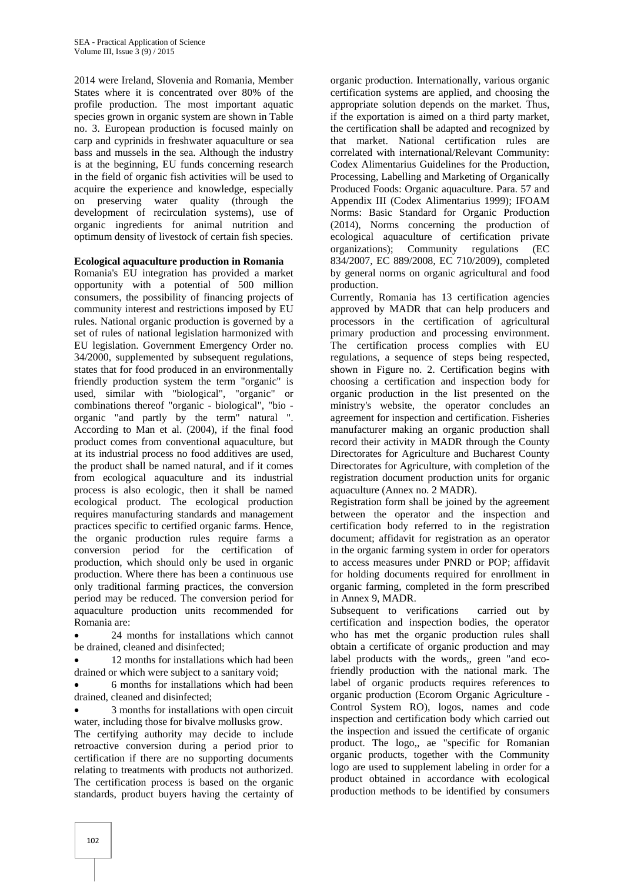2014 were Ireland, Slovenia and Romania, Member States where it is concentrated over 80% of the profile production. The most important aquatic species grown in organic system are shown in Table no. 3. European production is focused mainly on carp and cyprinids in freshwater aquaculture or sea bass and mussels in the sea. Although the industry is at the beginning, EU funds concerning research in the field of organic fish activities will be used to acquire the experience and knowledge, especially on preserving water quality (through the development of recirculation systems), use of organic ingredients for animal nutrition and optimum density of livestock of certain fish species.

#### **Ecological aquaculture production in Romania**

Romania's EU integration has provided a market opportunity with a potential of 500 million consumers, the possibility of financing projects of community interest and restrictions imposed by EU rules. National organic production is governed by a set of rules of national legislation harmonized with EU legislation. Government Emergency Order no. 34/2000, supplemented by subsequent regulations, states that for food produced in an environmentally friendly production system the term "organic" is used, similar with "biological", "organic" or combinations thereof "organic - biological", "bio organic "and partly by the term" natural ". According to Man et al. (2004), if the final food product comes from conventional aquaculture, but at its industrial process no food additives are used, the product shall be named natural, and if it comes from ecological aquaculture and its industrial process is also ecologic, then it shall be named ecological product. The ecological production requires manufacturing standards and management practices specific to certified organic farms. Hence, the organic production rules require farms a conversion period for the certification of production, which should only be used in organic production. Where there has been a continuous use only traditional farming practices, the conversion period may be reduced. The conversion period for aquaculture production units recommended for Romania are:

 24 months for installations which cannot be drained, cleaned and disinfected;

 12 months for installations which had been drained or which were subject to a sanitary void;

 6 months for installations which had been drained, cleaned and disinfected;

 3 months for installations with open circuit water, including those for bivalve mollusks grow.

The certifying authority may decide to include retroactive conversion during a period prior to certification if there are no supporting documents relating to treatments with products not authorized. The certification process is based on the organic standards, product buyers having the certainty of

organic production. Internationally, various organic certification systems are applied, and choosing the appropriate solution depends on the market. Thus, if the exportation is aimed on a third party market, the certification shall be adapted and recognized by that market. National certification rules are correlated with international/Relevant Community: Codex Alimentarius Guidelines for the Production, Processing, Labelling and Marketing of Organically Produced Foods: Organic aquaculture. Para. 57 and Appendix III (Codex Alimentarius 1999); IFOAM Norms: Basic Standard for Organic Production (2014), Norms concerning the production of ecological aquaculture of certification private organizations); Community regulations (EC 834/2007, EC 889/2008, EC 710/2009), completed by general norms on organic agricultural and food production.

Currently, Romania has 13 certification agencies approved by MADR that can help producers and processors in the certification of agricultural primary production and processing environment. The certification process complies with EU regulations, a sequence of steps being respected, shown in Figure no. 2. Certification begins with choosing a certification and inspection body for organic production in the list presented on the ministry's website, the operator concludes an agreement for inspection and certification. Fisheries manufacturer making an organic production shall record their activity in MADR through the County Directorates for Agriculture and Bucharest County Directorates for Agriculture, with completion of the registration document production units for organic aquaculture (Annex no. 2 MADR).

Registration form shall be joined by the agreement between the operator and the inspection and certification body referred to in the registration document; affidavit for registration as an operator in the organic farming system in order for operators to access measures under PNRD or POP; affidavit for holding documents required for enrollment in organic farming, completed in the form prescribed in Annex 9, MADR.

Subsequent to verifications carried out by certification and inspection bodies, the operator who has met the organic production rules shall obtain a certificate of organic production and may label products with the words,, green "and ecofriendly production with the national mark. The label of organic products requires references to organic production (Ecorom Organic Agriculture - Control System RO), logos, names and code inspection and certification body which carried out the inspection and issued the certificate of organic product. The logo,, ae "specific for Romanian organic products, together with the Community logo are used to supplement labeling in order for a product obtained in accordance with ecological production methods to be identified by consumers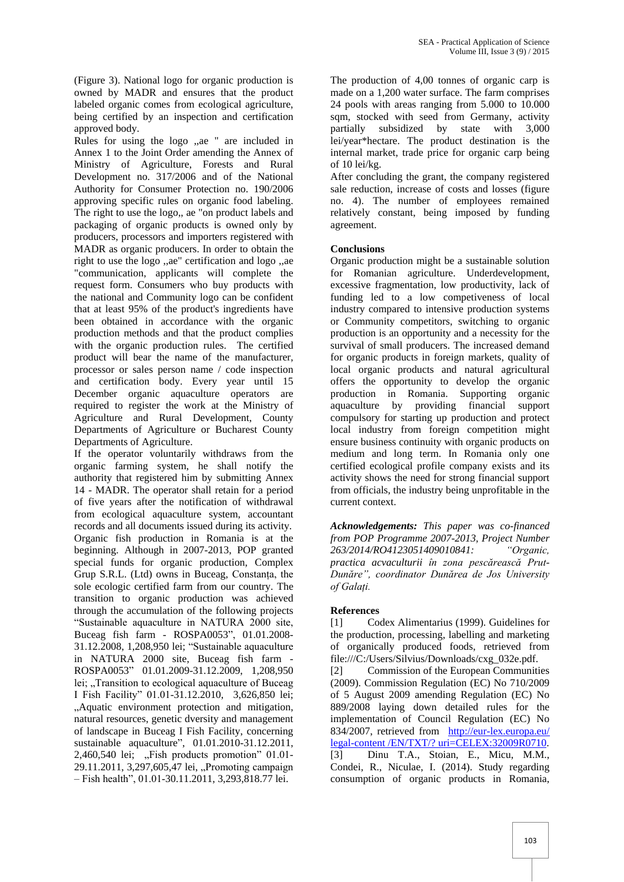(Figure 3). National logo for organic production is owned by MADR and ensures that the product labeled organic comes from ecological agriculture, being certified by an inspection and certification approved body.

Rules for using the logo ,,ae " are included in Annex 1 to the Joint Order amending the Annex of Ministry of Agriculture, Forests and Rural Development no. 317/2006 and of the National Authority for Consumer Protection no. 190/2006 approving specific rules on organic food labeling. The right to use the logo,, ae "on product labels and packaging of organic products is owned only by producers, processors and importers registered with MADR as organic producers. In order to obtain the right to use the logo ,,ae" certification and logo ,,ae "communication, applicants will complete the request form. Consumers who buy products with the national and Community logo can be confident that at least 95% of the product's ingredients have been obtained in accordance with the organic production methods and that the product complies with the organic production rules. The certified product will bear the name of the manufacturer, processor or sales person name / code inspection and certification body. Every year until 15 December organic aquaculture operators are required to register the work at the Ministry of Agriculture and Rural Development, County Departments of Agriculture or Bucharest County Departments of Agriculture.

If the operator voluntarily withdraws from the organic farming system, he shall notify the authority that registered him by submitting Annex 14 - MADR. The operator shall retain for a period of five years after the notification of withdrawal from ecological aquaculture system, accountant records and all documents issued during its activity. Organic fish production in Romania is at the beginning. Although in 2007-2013, POP granted special funds for organic production, Complex Grup S.R.L. (Ltd) owns in Buceag, Constanța, the sole ecologic certified farm from our country. The transition to organic production was achieved through the accumulation of the following projects "Sustainable aquaculture in NATURA 2000 site, Buceag fish farm - ROSPA0053", 01.01.2008- 31.12.2008, 1,208,950 lei; "Sustainable aquaculture in NATURA 2000 site, Buceag fish farm - ROSPA0053" 01.01.2009-31.12.2009, 1,208,950 lei; "Transition to ecological aquaculture of Buceag I Fish Facility" 01.01-31.12.2010, 3,626,850 lei; "Aquatic environment protection and mitigation, natural resources, genetic dversity and management of landscape in Buceag I Fish Facility, concerning sustainable aquaculture", 01.01.2010-31.12.2011,  $2,460,540$  lei;  $\sqrt{F}$  Fish products promotion  $01.01$ -29.11.2011, 3,297,605,47 lei, "Promoting campaign – Fish health", 01.01-30.11.2011, 3,293,818.77 lei.

The production of 4,00 tonnes of organic carp is made on a 1,200 water surface. The farm comprises 24 pools with areas ranging from 5.000 to 10.000 sqm, stocked with seed from Germany, activity partially subsidized by state with 3,000 lei/year\*hectare. The product destination is the internal market, trade price for organic carp being of 10 lei/kg.

After concluding the grant, the company registered sale reduction, increase of costs and losses (figure no. 4). The number of employees remained relatively constant, being imposed by funding agreement.

## **Conclusions**

Organic production might be a sustainable solution for Romanian agriculture. Underdevelopment, excessive fragmentation, low productivity, lack of funding led to a low competiveness of local industry compared to intensive production systems or Community competitors, switching to organic production is an opportunity and a necessity for the survival of small producers. The increased demand for organic products in foreign markets, quality of local organic products and natural agricultural offers the opportunity to develop the organic production in Romania. Supporting organic aquaculture by providing financial support compulsory for starting up production and protect local industry from foreign competition might ensure business continuity with organic products on medium and long term. In Romania only one certified ecological profile company exists and its activity shows the need for strong financial support from officials, the industry being unprofitable in the current context.

*Acknowledgements: This paper was co-financed from POP Programme 2007-2013, Project Number 263/2014/RO4123051409010841: "Organic, practica acvaculturii în zona pescărească Prut-Dunăre", coordinator Dunărea de Jos University of Galați.*

## **References**

[1] Codex Alimentarius (1999). Guidelines for the production, processing, labelling and marketing of organically produced foods, retrieved from file:///C:/Users/Silvius/Downloads/cxg\_032e.pdf.

[2] Commission of the European Communities (2009). Commission Regulation (EC) No 710/2009 of 5 August 2009 amending Regulation (EC) No 889/2008 laying down detailed rules for the implementation of Council Regulation (EC) No 834/2007, retrieved from http://eur-lex.europa.eu/ [legal-content /EN/TXT/? uri=CELEX:32009R0710.](http://eur-lex.europa.eu/%20legal-content%20/EN/TXT/?%20uri=CELEX:32009R0710) [3] Dinu T.A., Stoian, E., Micu, M.M., Condei, R., Niculae, I. (2014). Study regarding consumption of organic products in Romania,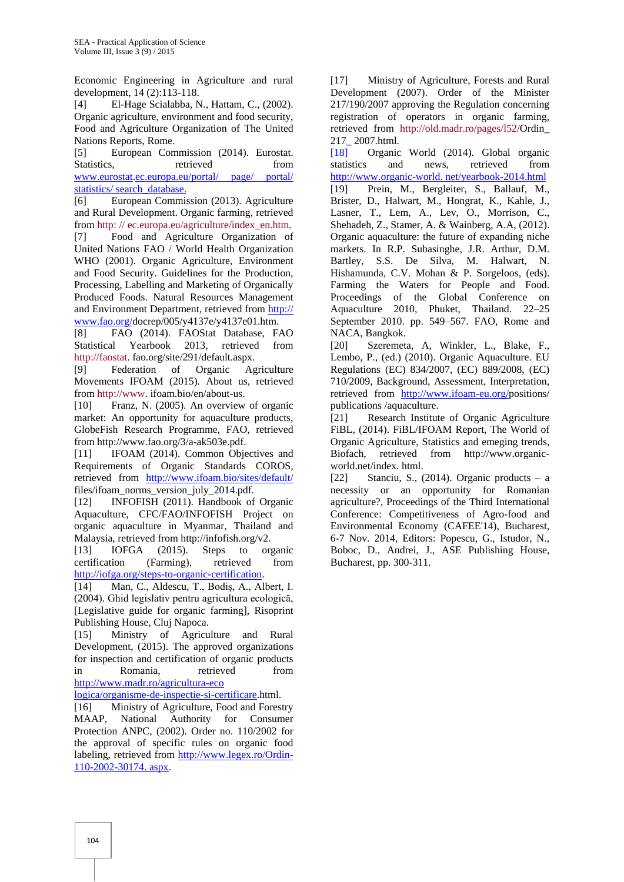Economic Engineering in Agriculture and rural development, 14 (2):113-118.

[4] El-Hage Scialabba, N., Hattam, C., (2002). Organic agriculture, environment and food security, Food and Agriculture Organization of The United Nations Reports, Rome.

[5] European Commission (2014). Eurostat. Statistics, retrieved from [www.eurostat.](http://www.eurostat/)ec.europa.eu/portal/ page/ portal/ statistics/ search\_database.

[6] European Commission (2013). Agriculture and Rural Development. Organic farming, retrieved from [http: // ec.europa.eu/agriculture/index\\_en.htm.](http://ec.europa.eu/agriculture/index_en.htm)

[7] Food and Agriculture Organization of United Nations FAO / World Health Organization WHO (2001). Organic Agriculture, Environment and Food Security. Guidelines for the Production, Processing, Labelling and Marketing of Organically Produced Foods. Natural Resources Management and Environment Department, retrieved from http:// www.fao.org/docrep/005/y4137e/y4137e01.htm.

[8] FAO (2014). FAOStat Database, FAO Statistical Yearbook 2013, retrieved from [http://faostat.](http://faostat/) fao.org/site/291/default.aspx.

[9] Federation of Organic Agriculture Movements IFOAM (2015). About us, retrieved from [http://www.](http://www/) ifoam.bio/en/about-us.

[10] Franz, N. (2005). An overview of organic market: An opportunity for aquaculture products, GlobeFish Research Programme, FAO, retrieved from http://www.fao.org/3/a-ak503e.pdf.

[11] IFOAM (2014). Common Objectives and Requirements of Organic Standards COROS, retrieved from <http://www.ifoam.bio/sites/default/> files/ifoam\_norms\_version\_july\_2014.pdf.

[12] INFOFISH (2011). Handbook of Organic Aquaculture, CFC/FAO/INFOFISH Project on organic aquaculture in Myanmar, Thailand and Malaysia, retrieved fro[m http://infofish.org/v2.](http://infofish.org/v2)

[13] IOFGA (2015). Steps to organic certification (Farming), retrieved from [http://iofga.org/steps-to-organic-certification.](http://iofga.org/steps-to-organic-certification)

[14] Man, C., Aldescu, T., Bodiş, A., Albert, I. (2004). Ghid legislativ pentru agricultura ecologică, [Legislative guide for organic farming], Risoprint Publishing House, Cluj Napoca.

[15] Ministry of Agriculture and Rural Development, (2015). The approved organizations for inspection and certification of organic products in Romania, retrieved from [http://www.madr.ro/agricultura-eco](http://www.madr.ro/agricultura-eco%20logica/organisme-de-inspectie-si-certificare) 

[logica/organisme-de-inspectie-si-certificare.](http://www.madr.ro/agricultura-eco%20logica/organisme-de-inspectie-si-certificare)html.

[16] Ministry of Agriculture, Food and Forestry MAAP, National Authority for Consumer Protection ANPC, (2002). Order no. 110/2002 for the approval of specific rules on organic food labeling, retrieved from [http://www.legex.ro/Ordin-](http://www.legex.ro/Ordin-110-2002-30174.%20aspx)[110-2002-30174. aspx.](http://www.legex.ro/Ordin-110-2002-30174.%20aspx)

[17] Ministry of Agriculture, Forests and Rural Development (2007). Order of the Minister 217/190/2007 approving the Regulation concerning registration of operators in organic farming, retrieved from [http://old.madr.ro/pages/l52/O](http://old.madr.ro/pages/l52/)rdin\_ 217\_ 2007.html.

[18] Organic World (2014). Global organic statistics and news, retrieved from http://www.organic-world. net/yearbook-2014.html [19] Prein, M., Bergleiter, S., Ballauf, M., Brister, D., Halwart, M., Hongrat, K., Kahle, J., Lasner, T., Lem, A., Lev, O., Morrison, C., Shehadeh, Z., Stamer, A. & Wainberg, A.A, (2012). Organic aquaculture: the future of expanding niche markets. In R.P. Subasinghe, J.R. Arthur, D.M. Bartley, S.S. De Silva, M. Halwart, N. Hishamunda, C.V. Mohan & P. Sorgeloos, (eds). Farming the Waters for People and Food. Proceedings of the Global Conference on Aquaculture 2010, Phuket, Thailand. 22–25 September 2010. pp. 549–567. FAO, Rome and NACA, Bangkok.

[20] Szeremeta, A, Winkler, L., Blake, F., Lembo, P., (ed.) (2010). Organic Aquaculture. EU Regulations (EC) 834/2007, (EC) 889/2008, (EC) 710/2009, Background, Assessment, Interpretation, retrieved from [http://www.ifoam-eu.org/p](http://www.ifoam-eu.org/)ositions/ publications /aquaculture.

[21] Research Institute of Organic Agriculture FiBL, (2014). FiBL/IFOAM Report, The World of Organic Agriculture, Statistics and emeging trends, Biofach, retrieved from http://www.organicworld.net/index. html.

[22] Stanciu, S.,  $(2014)$ . Organic products – a necessity or an opportunity for Romanian agriculture?, Proceedings of the Third International Conference: Competitiveness of Agro-food and Environmental Economy (CAFEE'14), Bucharest, 6-7 Nov. 2014, Editors: Popescu, G., Istudor, N., Boboc, D., Andrei, J., ASE Publishing House, Bucharest, pp. 300-311.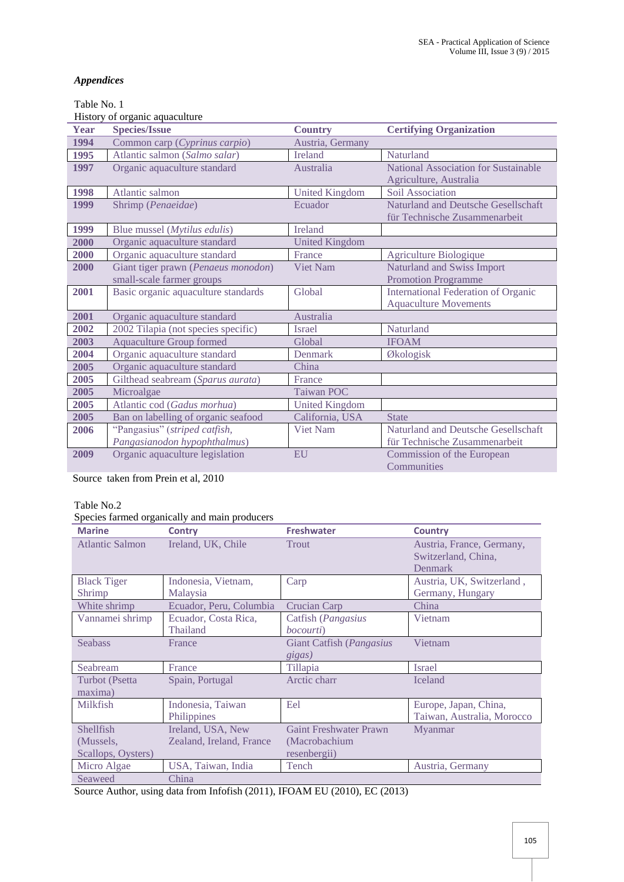# *Appendices*

# Table No. 1

History of organic aquaculture

| Year | <b>Species/Issue</b>                  | <b>Country</b>        | <b>Certifying Organization</b>             |
|------|---------------------------------------|-----------------------|--------------------------------------------|
| 1994 | Common carp (Cyprinus carpio)         | Austria, Germany      |                                            |
| 1995 | Atlantic salmon (Salmo salar)         | <b>Ireland</b>        | Naturland                                  |
| 1997 | Organic aquaculture standard          | Australia             | National Association for Sustainable       |
|      |                                       |                       | Agriculture, Australia                     |
| 1998 | Atlantic salmon                       | <b>United Kingdom</b> | Soil Association                           |
| 1999 | Shrimp (Penaeidae)                    | Ecuador               | Naturland and Deutsche Gesellschaft        |
|      |                                       |                       | für Technische Zusammenarbeit              |
| 1999 | Blue mussel ( <i>Mytilus edulis</i> ) | <b>Ireland</b>        |                                            |
| 2000 | Organic aquaculture standard          | <b>United Kingdom</b> |                                            |
| 2000 | Organic aquaculture standard          | France                | Agriculture Biologique                     |
| 2000 | Giant tiger prawn (Penaeus monodon)   | <b>Viet Nam</b>       | Naturland and Swiss Import                 |
|      | small-scale farmer groups             |                       | <b>Promotion Programme</b>                 |
| 2001 | Basic organic aquaculture standards   | Global                | <b>International Federation of Organic</b> |
|      |                                       |                       | <b>Aquaculture Movements</b>               |
| 2001 | Organic aquaculture standard          | Australia             |                                            |
| 2002 | 2002 Tilapia (not species specific)   | <b>Israel</b>         | Naturland                                  |
| 2003 | <b>Aquaculture Group formed</b>       | Global                | <b>IFOAM</b>                               |
| 2004 | Organic aquaculture standard          | <b>Denmark</b>        | Økologisk                                  |
| 2005 | Organic aquaculture standard          | China                 |                                            |
| 2005 | Gilthead seabream (Sparus aurata)     | France                |                                            |
| 2005 | Microalgae                            | <b>Taiwan POC</b>     |                                            |
| 2005 | Atlantic cod (Gadus morhua)           | <b>United Kingdom</b> |                                            |
| 2005 | Ban on labelling of organic seafood   | California, USA       | <b>State</b>                               |
| 2006 | "Pangasius" (striped catfish,         | Viet Nam              | Naturland and Deutsche Gesellschaft        |
|      | Pangasianodon hypophthalmus)          |                       | für Technische Zusammenarbeit              |
| 2009 | Organic aquaculture legislation       | <b>EU</b>             | Commission of the European                 |
|      |                                       |                       | Communities                                |

Source taken from Prein et al, 2010

## Table No.2

# Species farmed organically and main producers

| <b>Marine</b>          | <b>Contry</b>            | <b>Freshwater</b>             | <b>Country</b>                                                     |
|------------------------|--------------------------|-------------------------------|--------------------------------------------------------------------|
| <b>Atlantic Salmon</b> | Ireland, UK, Chile       | <b>Trout</b>                  | Austria, France, Germany,<br>Switzerland, China,<br><b>Denmark</b> |
| <b>Black Tiger</b>     | Indonesia, Vietnam,      | Carp                          | Austria, UK, Switzerland,                                          |
| Shrimp                 | Malaysia                 |                               | Germany, Hungary                                                   |
| White shrimp           | Ecuador, Peru, Columbia  | Crucian Carp                  | China                                                              |
| Vannamei shrimp        | Ecuador, Costa Rica,     | Catfish (Pangasius            | Vietnam                                                            |
|                        | Thailand                 | <i>bocourti</i> )             |                                                                    |
| <b>Seabass</b>         | France                   | Giant Catfish (Pangasius      | Vietnam                                                            |
|                        |                          | gigas)                        |                                                                    |
| Seabream               | France                   | Tillapia                      | <b>Israel</b>                                                      |
| Turbot (Psetta         | Spain, Portugal          | Arctic charr                  | <b>Iceland</b>                                                     |
| maxima)                |                          |                               |                                                                    |
| Milkfish               | Indonesia, Taiwan        | Eel                           | Europe, Japan, China,                                              |
|                        | Philippines              |                               | Taiwan, Australia, Morocco                                         |
| Shellfish              | Ireland, USA, New        | <b>Gaint Freshwater Prawn</b> | Myanmar                                                            |
| (Mussels,              | Zealand, Ireland, France | (Macrobachium                 |                                                                    |
| Scallops, Oysters)     |                          | resenbergii)                  |                                                                    |
| Micro Algae            | USA, Taiwan, India       | Tench                         | Austria, Germany                                                   |
| Seaweed                | China                    |                               |                                                                    |

Source Author, using data from Infofish (2011), IFOAM EU (2010), EC (2013)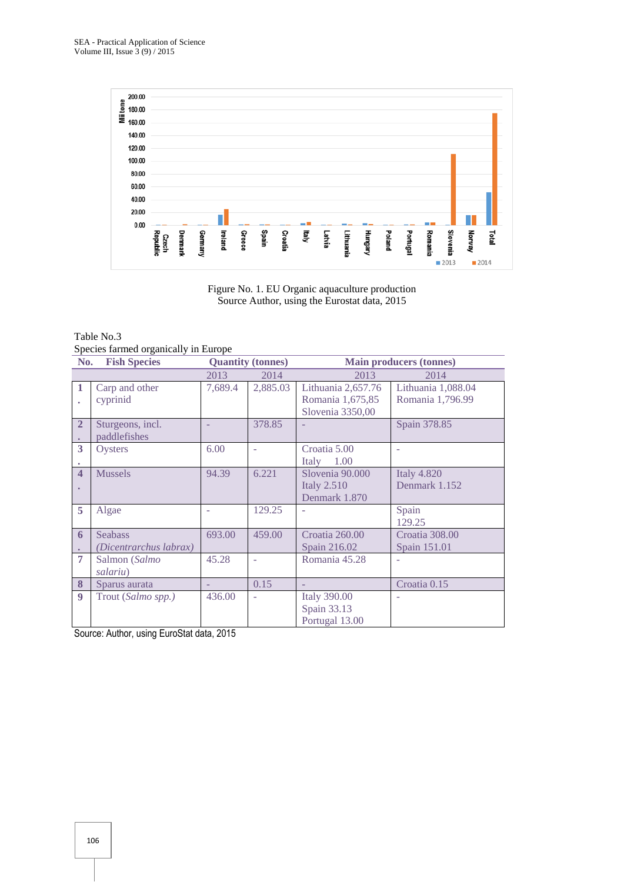

Figure No. 1. EU Organic aquaculture production Source Author, using the Eurostat data, 2015

| Table No.3                           |  |
|--------------------------------------|--|
| Species farmed organically in Europe |  |

| No.                       | <b>Fish Species</b>                      |         | <b>Quantity (tonnes)</b> |                                                            | <b>Main producers (tonnes)</b>         |
|---------------------------|------------------------------------------|---------|--------------------------|------------------------------------------------------------|----------------------------------------|
|                           |                                          | 2013    | 2014                     | 2013                                                       | 2014                                   |
| $\mathbf{1}$<br>$\bullet$ | Carp and other<br>cyprinid               | 7,689.4 | 2,885.03                 | Lithuania 2,657.76<br>Romania 1,675,85<br>Slovenia 3350,00 | Lithuania 1,088.04<br>Romania 1,796.99 |
| $\overline{2}$            | Sturgeons, incl.<br>paddlefishes         |         | 378.85                   |                                                            | Spain 378.85                           |
| 3                         | Oysters                                  | 6.00    |                          | Croatia 5.00<br>1.00<br>Italy                              |                                        |
| $\overline{\mathbf{4}}$   | <b>Mussels</b>                           | 94.39   | 6.221                    | Slovenia 90.000<br><b>Italy 2.510</b><br>Denmark 1.870     | <b>Italy 4.820</b><br>Denmark 1.152    |
| 5                         | Algae                                    |         | 129.25                   |                                                            | Spain<br>129.25                        |
| 6                         | <b>Seabass</b><br>(Dicentrarchus labrax) | 693.00  | 459.00                   | Croatia 260.00<br>Spain 216.02                             | Croatia 308.00<br>Spain 151.01         |
| $\overline{7}$            | Salmon (Salmo<br>salariu)                | 45.28   |                          | Romania 45.28                                              |                                        |
| 8                         | Sparus aurata                            |         | 0.15                     |                                                            | Croatia 0.15                           |
| 9                         | Trout (Salmo spp.)                       | 436.00  |                          | <b>Italy 390.00</b><br>Spain 33.13<br>Portugal 13.00       |                                        |

Source: Author, using EuroStat data, 2015